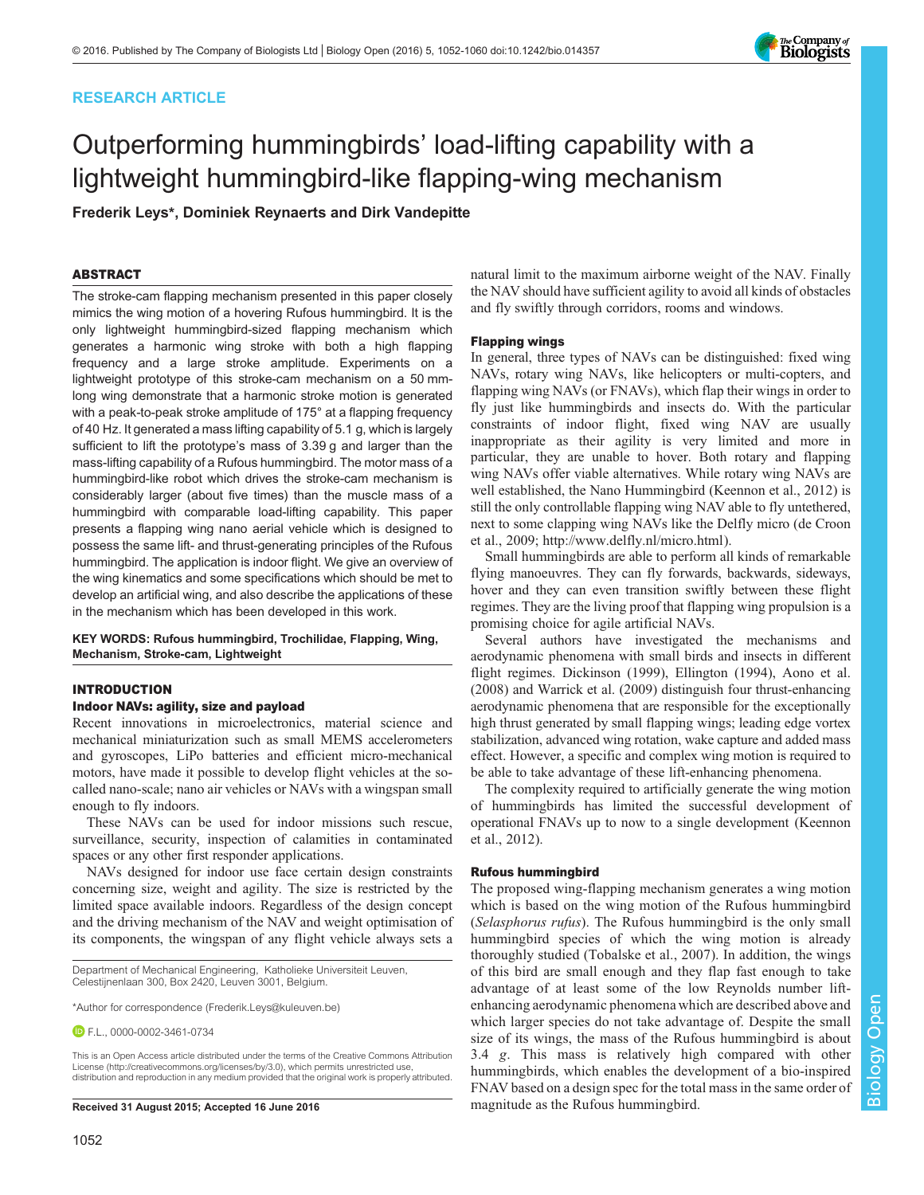# RESEARCH ARTICLE

# Outperforming hummingbirds' load-lifting capability with a lightweight hummingbird-like flapping-wing mechanism

Frederik Leys\*, Dominiek Reynaerts and Dirk Vandepitte

# ABSTRACT

The stroke-cam flapping mechanism presented in this paper closely mimics the wing motion of a hovering Rufous hummingbird. It is the only lightweight hummingbird-sized flapping mechanism which generates a harmonic wing stroke with both a high flapping frequency and a large stroke amplitude. Experiments on a lightweight prototype of this stroke-cam mechanism on a 50 mmlong wing demonstrate that a harmonic stroke motion is generated with a peak-to-peak stroke amplitude of 175° at a flapping frequency of 40 Hz. It generated a mass lifting capability of 5.1 g, which is largely sufficient to lift the prototype's mass of 3.39 g and larger than the mass-lifting capability of a Rufous hummingbird. The motor mass of a hummingbird-like robot which drives the stroke-cam mechanism is considerably larger (about five times) than the muscle mass of a hummingbird with comparable load-lifting capability. This paper presents a flapping wing nano aerial vehicle which is designed to possess the same lift- and thrust-generating principles of the Rufous hummingbird. The application is indoor flight. We give an overview of the wing kinematics and some specifications which should be met to develop an artificial wing, and also describe the applications of these in the mechanism which has been developed in this work.

#### KEY WORDS: Rufous hummingbird, Trochilidae, Flapping, Wing, Mechanism, Stroke-cam, Lightweight

# INTRODUCTION

#### Indoor NAVs: agility, size and payload

Recent innovations in microelectronics, material science and mechanical miniaturization such as small MEMS accelerometers and gyroscopes, LiPo batteries and efficient micro-mechanical motors, have made it possible to develop flight vehicles at the socalled nano-scale; nano air vehicles or NAVs with a wingspan small enough to fly indoors.

These NAVs can be used for indoor missions such rescue, surveillance, security, inspection of calamities in contaminated spaces or any other first responder applications.

NAVs designed for indoor use face certain design constraints concerning size, weight and agility. The size is restricted by the limited space available indoors. Regardless of the design concept and the driving mechanism of the NAV and weight optimisation of its components, the wingspan of any flight vehicle always sets a

Department of Mechanical Engineering, Katholieke Universiteit Leuven, Celestijnenlaan 300, Box 2420, Leuven 3001, Belgium.

\*Author for correspondence [\(Frederik.Leys@kuleuven.be](mailto:Frederik.Leys@kuleuven.be))

**D** F.L., [0000-0002-3461-0734](http://orcid.org/0000-0002-3461-0734)

This is an Open Access article distributed under the terms of the Creative Commons Attribution License [\(http://creativecommons.org/licenses/by/3.0\)](http://creativecommons.org/licenses/by/3.0), which permits unrestricted use, distribution and reproduction in any medium provided that the original work is properly attributed.

natural limit to the maximum airborne weight of the NAV. Finally the NAV should have sufficient agility to avoid all kinds of obstacles and fly swiftly through corridors, rooms and windows.

#### Flapping wings

In general, three types of NAVs can be distinguished: fixed wing NAVs, rotary wing NAVs, like helicopters or multi-copters, and flapping wing NAVs (or FNAVs), which flap their wings in order to fly just like hummingbirds and insects do. With the particular constraints of indoor flight, fixed wing NAV are usually inappropriate as their agility is very limited and more in particular, they are unable to hover. Both rotary and flapping wing NAVs offer viable alternatives. While rotary wing NAVs are well established, the Nano Hummingbird [\(Keennon et al., 2012](#page-7-0)) is still the only controllable flapping wing NAV able to fly untethered, next to some clapping wing NAVs like the [Delfly micro](#page-7-0) [\(de Croon](#page-7-0) [et al., 2009;](#page-7-0)<http://www.delfly.nl/micro.html>).

Small hummingbirds are able to perform all kinds of remarkable flying manoeuvres. They can fly forwards, backwards, sideways, hover and they can even transition swiftly between these flight regimes. They are the living proof that flapping wing propulsion is a promising choice for agile artificial NAVs.

Several authors have investigated the mechanisms and aerodynamic phenomena with small birds and insects in different flight regimes. [Dickinson \(1999\), Ellington \(1994\), Aono et al.](#page-7-0) [\(2008\)](#page-7-0) and [Warrick et al. \(2009\)](#page-8-0) distinguish four thrust-enhancing aerodynamic phenomena that are responsible for the exceptionally high thrust generated by small flapping wings; leading edge vortex stabilization, advanced wing rotation, wake capture and added mass effect. However, a specific and complex wing motion is required to be able to take advantage of these lift-enhancing phenomena.

The complexity required to artificially generate the wing motion of hummingbirds has limited the successful development of operational FNAVs up to now to a single development ([Keennon](#page-7-0) [et al., 2012\)](#page-7-0).

# Rufous hummingbird

The proposed wing-flapping mechanism generates a wing motion which is based on the wing motion of the Rufous hummingbird (Selasphorus rufus). The Rufous hummingbird is the only small hummingbird species of which the wing motion is already thoroughly studied ([Tobalske et al., 2007](#page-8-0)). In addition, the wings of this bird are small enough and they flap fast enough to take advantage of at least some of the low Reynolds number liftenhancing aerodynamic phenomena which are described above and which larger species do not take advantage of. Despite the small size of its wings, the mass of the Rufous hummingbird is about 3.4 g. This mass is relatively high compared with other hummingbirds, which enables the development of a bio-inspired FNAV based on a design spec for the total mass in the same order of Received 31 August 2015; Accepted 16 June 2016 magnitude as the Rufous hummingbird.

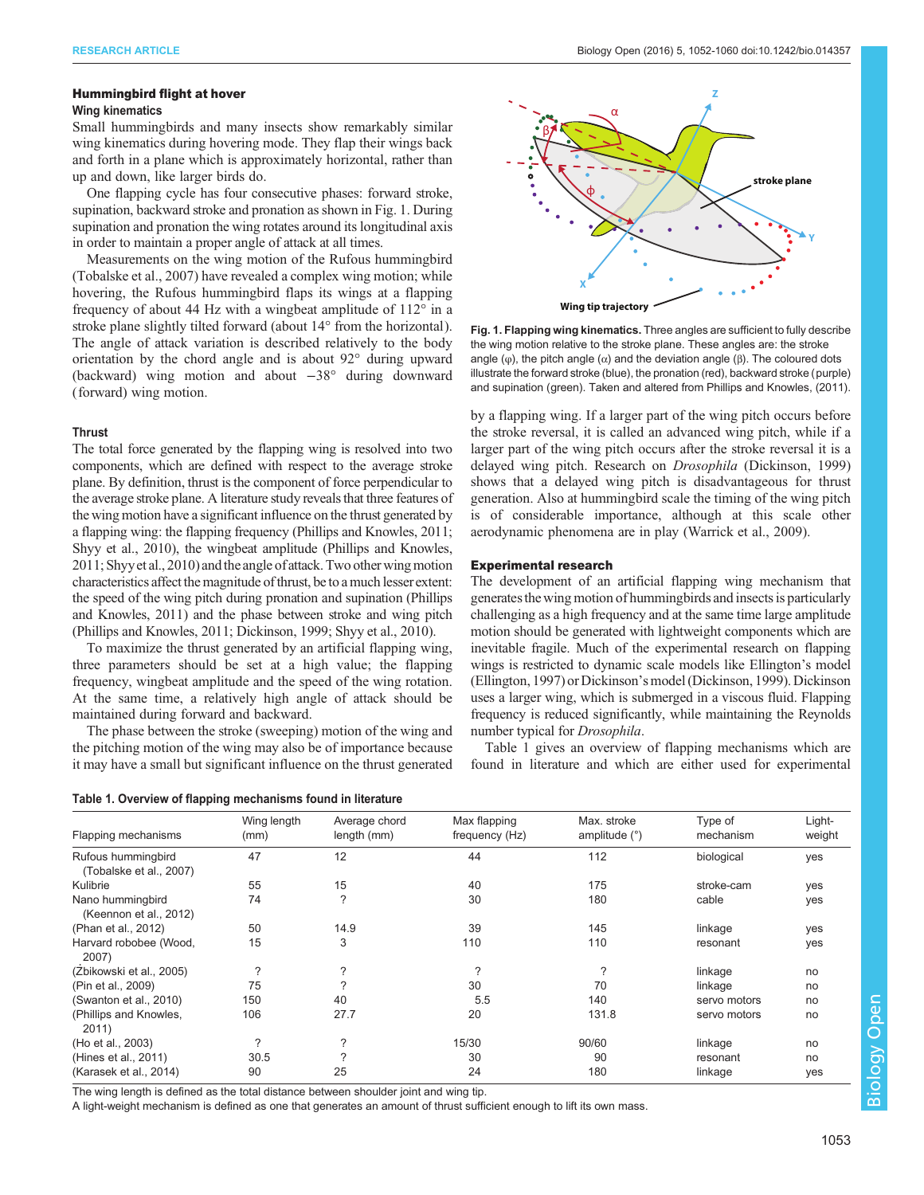#### <span id="page-1-0"></span>Hummingbird flight at hover

#### Wing kinematics

Small hummingbirds and many insects show remarkably similar wing kinematics during hovering mode. They flap their wings back and forth in a plane which is approximately horizontal, rather than up and down, like larger birds do.

One flapping cycle has four consecutive phases: forward stroke, supination, backward stroke and pronation as shown in Fig. 1. During supination and pronation the wing rotates around its longitudinal axis in order to maintain a proper angle of attack at all times.

Measurements on the wing motion of the Rufous hummingbird [\(Tobalske et al., 2007\)](#page-8-0) have revealed a complex wing motion; while hovering, the Rufous hummingbird flaps its wings at a flapping frequency of about 44 Hz with a wingbeat amplitude of 112° in a stroke plane slightly tilted forward (about 14° from the horizontal). The angle of attack variation is described relatively to the body orientation by the chord angle and is about 92° during upward (backward) wing motion and about −38° during downward (forward) wing motion.

# **Thrust**

The total force generated by the flapping wing is resolved into two components, which are defined with respect to the average stroke plane. By definition, thrust is the component of force perpendicular to the average stroke plane. A literature study reveals that three features of the wing motion have a significant influence on the thrust generated by a flapping wing: the flapping frequency ([Phillips and Knowles, 2011](#page-7-0); [Shyy et al., 2010\)](#page-7-0), the wingbeat amplitude [\(Phillips and Knowles,](#page-7-0) [2011](#page-7-0); [Shyyet al., 2010](#page-7-0)) and the angle of attack. Two other wing motion characteristics affect the magnitude of thrust, be to a much lesser extent: the speed of the wing pitch during pronation and supination [\(Phillips](#page-7-0) [and Knowles, 2011\)](#page-7-0) and the phase between stroke and wing pitch [\(Phillips and Knowles, 2011; Dickinson, 1999](#page-7-0); [Shyy et al., 2010\)](#page-7-0).

To maximize the thrust generated by an artificial flapping wing, three parameters should be set at a high value; the flapping frequency, wingbeat amplitude and the speed of the wing rotation. At the same time, a relatively high angle of attack should be maintained during forward and backward.

The phase between the stroke (sweeping) motion of the wing and the pitching motion of the wing may also be of importance because it may have a small but significant influence on the thrust generated

|  |  |  |  | Table 1. Overview of flapping mechanisms found in literature |
|--|--|--|--|--------------------------------------------------------------|
|  |  |  |  |                                                              |



Fig. 1. Flapping wing kinematics. Three angles are sufficient to fully describe the wing motion relative to the stroke plane. These angles are: the stroke angle  $(\varphi)$ , the pitch angle  $(\alpha)$  and the deviation angle  $(\beta)$ . The coloured dots illustrate the forward stroke (blue), the pronation (red), backward stroke (purple) and supination (green). Taken and altered from [Phillips and Knowles, \(2011\)](#page-7-0).

by a flapping wing. If a larger part of the wing pitch occurs before the stroke reversal, it is called an advanced wing pitch, while if a larger part of the wing pitch occurs after the stroke reversal it is a delayed wing pitch. Research on Drosophila [\(Dickinson, 1999\)](#page-7-0) shows that a delayed wing pitch is disadvantageous for thrust generation. Also at hummingbird scale the timing of the wing pitch is of considerable importance, although at this scale other aerodynamic phenomena are in play ([Warrick et al., 2009\)](#page-8-0).

#### Experimental research

The development of an artificial flapping wing mechanism that generates the wing motion of hummingbirds and insects is particularly challenging as a high frequency and at the same time large amplitude motion should be generated with lightweight components which are inevitable fragile. Much of the experimental research on flapping wings is restricted to dynamic scale models like Ellington's model [\(Ellington, 1997\)](#page-7-0) or Dickinson's model ([Dickinson, 1999](#page-7-0)). Dickinson uses a larger wing, which is submerged in a viscous fluid. Flapping frequency is reduced significantly, while maintaining the Reynolds number typical for Drosophila.

Table 1 gives an overview of flapping mechanisms which are found in literature and which are either used for experimental

| Flapping mechanisms                           | Wing length<br>(mm) | Average chord<br>length (mm) | Max flapping<br>frequency (Hz) | Max. stroke<br>amplitude (°) | Type of<br>mechanism | Light-<br>weight |
|-----------------------------------------------|---------------------|------------------------------|--------------------------------|------------------------------|----------------------|------------------|
| Rufous hummingbird<br>(Tobalske et al., 2007) | 47                  | 12                           | 44                             | 112                          | biological           | yes              |
| Kulibrie                                      | 55                  | 15                           | 40                             | 175                          | stroke-cam           | yes              |
| Nano hummingbird<br>(Keennon et al., 2012)    | 74                  | ?                            | 30                             | 180                          | cable                | yes              |
| (Phan et al., 2012)                           | 50                  | 14.9                         | 39                             | 145                          | linkage              | yes              |
| Harvard robobee (Wood,<br>2007)               | 15                  | 3                            | 110                            | 110                          | resonant             | yes              |
| (Zbikowski et al., 2005)                      | ?                   | ?                            | ?                              | 2                            | linkage              | no               |
| (Pin et al., 2009)                            | 75                  | 2                            | 30                             | 70                           | linkage              | no               |
| (Swanton et al., 2010)                        | 150                 | 40                           | 5.5                            | 140                          | servo motors         | no               |
| (Phillips and Knowles,<br>2011)               | 106                 | 27.7                         | 20                             | 131.8                        | servo motors         | no               |
| (Ho et al., 2003)                             | ?                   | ?                            | 15/30                          | 90/60                        | linkage              | no               |
| (Hines et al., 2011)                          | 30.5                | 2                            | 30                             | 90                           | resonant             | no               |
| (Karasek et al., 2014)                        | 90                  | 25                           | 24                             | 180                          | linkage              | yes              |

The wing length is defined as the total distance between shoulder joint and wing tip.

A light-weight mechanism is defined as one that generates an amount of thrust sufficient enough to lift its own mass.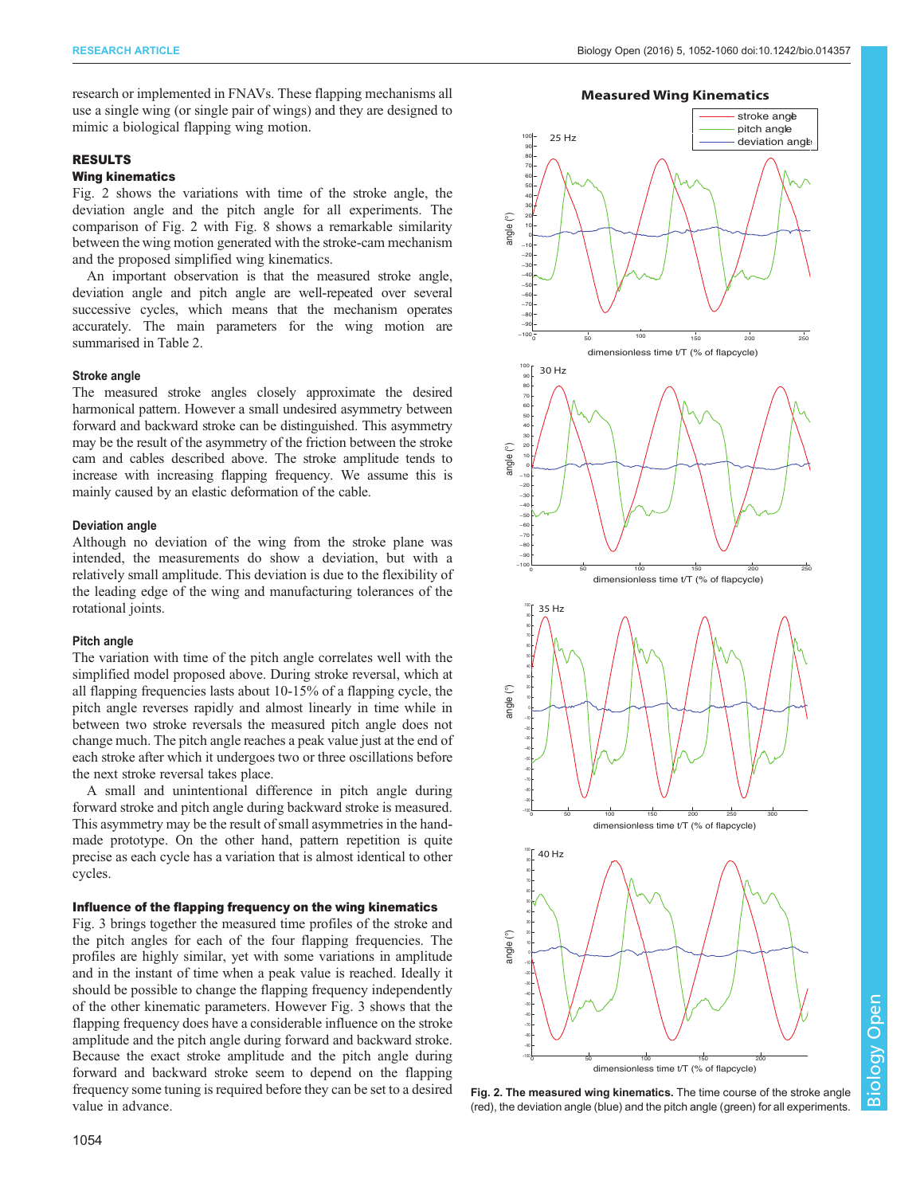<span id="page-2-0"></span>research or implemented in FNAVs. These flapping mechanisms all use a single wing (or single pair of wings) and they are designed to mimic a biological flapping wing motion.

#### RESULTS

# Wing kinematics

Fig. 2 shows the variations with time of the stroke angle, the deviation angle and the pitch angle for all experiments. The comparison of Fig. 2 with [Fig. 8](#page-6-0) shows a remarkable similarity between the wing motion generated with the stroke-cam mechanism and the proposed simplified wing kinematics.

An important observation is that the measured stroke angle, deviation angle and pitch angle are well-repeated over several successive cycles, which means that the mechanism operates accurately. The main parameters for the wing motion are summarised in [Table 2](#page-3-0).

# Stroke angle

The measured stroke angles closely approximate the desired harmonical pattern. However a small undesired asymmetry between forward and backward stroke can be distinguished. This asymmetry may be the result of the asymmetry of the friction between the stroke cam and cables described above. The stroke amplitude tends to increase with increasing flapping frequency. We assume this is mainly caused by an elastic deformation of the cable.

#### Deviation angle

Although no deviation of the wing from the stroke plane was intended, the measurements do show a deviation, but with a relatively small amplitude. This deviation is due to the flexibility of the leading edge of the wing and manufacturing tolerances of the rotational joints.

#### Pitch angle

The variation with time of the pitch angle correlates well with the simplified model proposed above. During stroke reversal, which at all flapping frequencies lasts about 10-15% of a flapping cycle, the pitch angle reverses rapidly and almost linearly in time while in between two stroke reversals the measured pitch angle does not change much. The pitch angle reaches a peak value just at the end of each stroke after which it undergoes two or three oscillations before the next stroke reversal takes place.

A small and unintentional difference in pitch angle during forward stroke and pitch angle during backward stroke is measured. This asymmetry may be the result of small asymmetries in the handmade prototype. On the other hand, pattern repetition is quite precise as each cycle has a variation that is almost identical to other cycles.

#### Influence of the flapping frequency on the wing kinematics

[Fig. 3](#page-3-0) brings together the measured time profiles of the stroke and the pitch angles for each of the four flapping frequencies. The profiles are highly similar, yet with some variations in amplitude and in the instant of time when a peak value is reached. Ideally it should be possible to change the flapping frequency independently of the other kinematic parameters. However [Fig. 3](#page-3-0) shows that the flapping frequency does have a considerable influence on the stroke amplitude and the pitch angle during forward and backward stroke. Because the exact stroke amplitude and the pitch angle during forward and backward stroke seem to depend on the flapping frequency some tuning is required before they can be set to a desired value in advance.



Fig. 2. The measured wing kinematics. The time course of the stroke angle (red), the deviation angle (blue) and the pitch angle (green) for all experiments.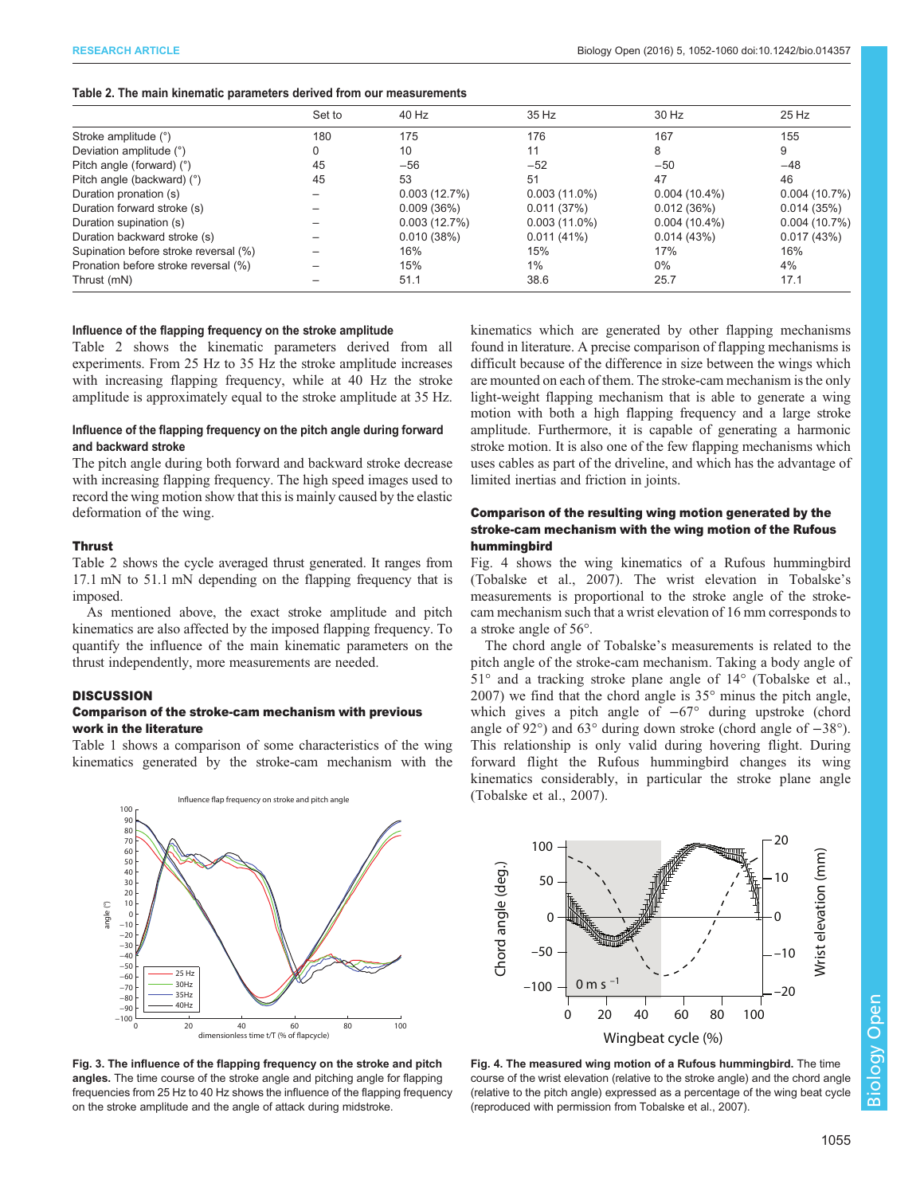#### <span id="page-3-0"></span>RESEARCH ARTICLE **ARTICLE Biology Open (2016)** 5, 1052-1060 doi:10.1242/bio.014357

#### Table 2. The main kinematic parameters derived from our measurements

|                                       | Set to | 40 Hz        | 35 Hz           | 30 Hz           | 25 Hz        |
|---------------------------------------|--------|--------------|-----------------|-----------------|--------------|
| Stroke amplitude (°)                  | 180    | 175          | 176             | 167             | 155          |
| Deviation amplitude (°)               |        | 10           | 11              | 8               | 9            |
| Pitch angle (forward) (°)             | 45     | $-56$        | $-52$           | $-50$           | $-48$        |
| Pitch angle (backward) (°)            | 45     | 53           | 51              | 47              | 46           |
| Duration pronation (s)                |        | 0.003(12.7%) | $0.003(11.0\%)$ | $0.004(10.4\%)$ | 0.004(10.7%) |
| Duration forward stroke (s)           |        | 0.009(36%)   | 0.011(37%)      | 0.012(36%)      | 0.014(35%)   |
| Duration supination (s)               |        | 0.003(12.7%) | $0.003(11.0\%)$ | $0.004(10.4\%)$ | 0.004(10.7%) |
| Duration backward stroke (s)          |        | 0.010(38%)   | 0.011(41%)      | 0.014(43%)      | 0.017(43%)   |
| Supination before stroke reversal (%) |        | 16%          | 15%             | 17%             | 16%          |
| Pronation before stroke reversal (%)  |        | 15%          | $1\%$           | $0\%$           | 4%           |
| Thrust (mN)                           |        | 51.1         | 38.6            | 25.7            | 17.1         |

#### Influence of the flapping frequency on the stroke amplitude

Table 2 shows the kinematic parameters derived from all experiments. From 25 Hz to 35 Hz the stroke amplitude increases with increasing flapping frequency, while at 40 Hz the stroke amplitude is approximately equal to the stroke amplitude at 35 Hz.

# Influence of the flapping frequency on the pitch angle during forward and backward stroke

The pitch angle during both forward and backward stroke decrease with increasing flapping frequency. The high speed images used to record the wing motion show that this is mainly caused by the elastic deformation of the wing.

# **Thrust**

Table 2 shows the cycle averaged thrust generated. It ranges from 17.1 mN to 51.1 mN depending on the flapping frequency that is imposed.

As mentioned above, the exact stroke amplitude and pitch kinematics are also affected by the imposed flapping frequency. To quantify the influence of the main kinematic parameters on the thrust independently, more measurements are needed.

#### **DISCUSSION**

#### Comparison of the stroke-cam mechanism with previous work in the literature

[Table 1](#page-1-0) shows a comparison of some characteristics of the wing kinematics generated by the stroke-cam mechanism with the

kinematics which are generated by other flapping mechanisms found in literature. A precise comparison of flapping mechanisms is difficult because of the difference in size between the wings which are mounted on each of them. The stroke-cam mechanism is the only light-weight flapping mechanism that is able to generate a wing motion with both a high flapping frequency and a large stroke amplitude. Furthermore, it is capable of generating a harmonic stroke motion. It is also one of the few flapping mechanisms which uses cables as part of the driveline, and which has the advantage of limited inertias and friction in joints.

# Comparison of the resulting wing motion generated by the stroke-cam mechanism with the wing motion of the Rufous hummingbird

Fig. 4 shows the wing kinematics of a Rufous hummingbird [\(Tobalske et al., 2007\)](#page-8-0). The wrist elevation in Tobalske's measurements is proportional to the stroke angle of the strokecam mechanism such that a wrist elevation of 16 mm corresponds to a stroke angle of 56°.

The chord angle of Tobalske's measurements is related to the pitch angle of the stroke-cam mechanism. Taking a body angle of 51° and a tracking stroke plane angle of 14° [\(Tobalske et al.,](#page-8-0) [2007](#page-8-0)) we find that the chord angle is 35° minus the pitch angle, which gives a pitch angle of −67° during upstroke (chord angle of 92°) and 63° during down stroke (chord angle of −38°). This relationship is only valid during hovering flight. During forward flight the Rufous hummingbird changes its wing kinematics considerably, in particular the stroke plane angle [\(Tobalske et al., 2007\)](#page-8-0).



Fig. 3. The influence of the flapping frequency on the stroke and pitch angles. The time course of the stroke angle and pitching angle for flapping frequencies from 25 Hz to 40 Hz shows the influence of the flapping frequency on the stroke amplitude and the angle of attack during midstroke.



Fig. 4. The measured wing motion of a Rufous hummingbird. The time course of the wrist elevation (relative to the stroke angle) and the chord angle (relative to the pitch angle) expressed as a percentage of the wing beat cycle (reproduced with permission from [Tobalske et al., 2007\)](#page-8-0).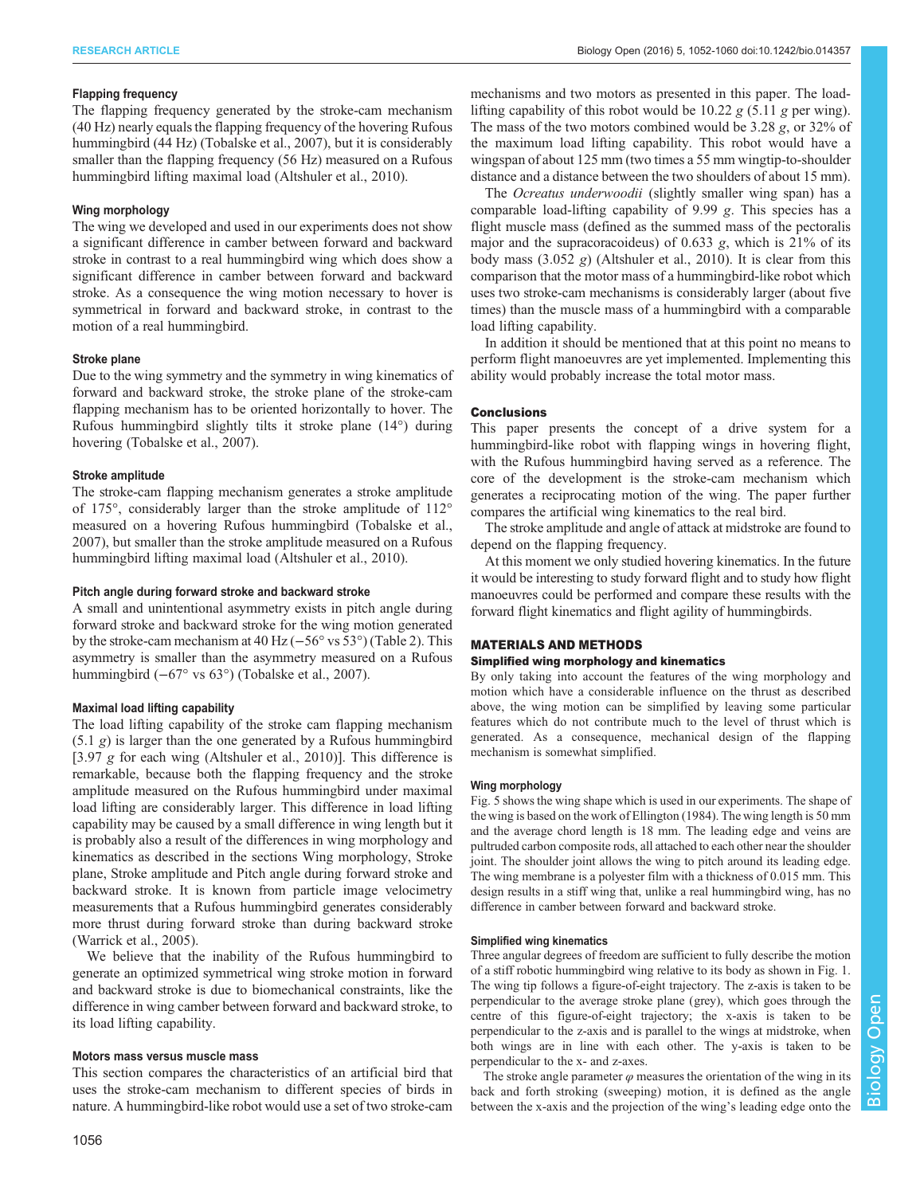# Flapping frequency

The flapping frequency generated by the stroke-cam mechanism (40 Hz) nearly equals the flapping frequency of the hovering Rufous hummingbird (44 Hz) ([Tobalske et al., 2007](#page-8-0)), but it is considerably smaller than the flapping frequency (56 Hz) measured on a Rufous hummingbird lifting maximal load [\(Altshuler et al., 2010](#page-7-0)).

### Wing morphology

The wing we developed and used in our experiments does not show a significant difference in camber between forward and backward stroke in contrast to a real hummingbird wing which does show a significant difference in camber between forward and backward stroke. As a consequence the wing motion necessary to hover is symmetrical in forward and backward stroke, in contrast to the motion of a real hummingbird.

#### Stroke plane

Due to the wing symmetry and the symmetry in wing kinematics of forward and backward stroke, the stroke plane of the stroke-cam flapping mechanism has to be oriented horizontally to hover. The Rufous hummingbird slightly tilts it stroke plane (14°) during hovering ([Tobalske et al., 2007](#page-8-0)).

# Stroke amplitude

The stroke-cam flapping mechanism generates a stroke amplitude of 175°, considerably larger than the stroke amplitude of 112° measured on a hovering Rufous hummingbird ([Tobalske et al.,](#page-8-0) [2007](#page-8-0)), but smaller than the stroke amplitude measured on a Rufous hummingbird lifting maximal load [\(Altshuler et al., 2010](#page-7-0)).

#### Pitch angle during forward stroke and backward stroke

A small and unintentional asymmetry exists in pitch angle during forward stroke and backward stroke for the wing motion generated by the stroke-cam mechanism at 40 Hz (−56° vs 53°) [\(Table 2](#page-3-0)). This asymmetry is smaller than the asymmetry measured on a Rufous hummingbird (−67° vs 63°) ([Tobalske et al., 2007](#page-8-0)).

#### Maximal load lifting capability

The load lifting capability of the stroke cam flapping mechanism (5.1 g) is larger than the one generated by a Rufous hummingbird [3.97  $g$  for each wing ([Altshuler et al., 2010\)](#page-7-0)]. This difference is remarkable, because both the flapping frequency and the stroke amplitude measured on the Rufous hummingbird under maximal load lifting are considerably larger. This difference in load lifting capability may be caused by a small difference in wing length but it is probably also a result of the differences in wing morphology and kinematics as described in the sections Wing morphology, Stroke plane, Stroke amplitude and Pitch angle during forward stroke and backward stroke. It is known from particle image velocimetry measurements that a Rufous hummingbird generates considerably more thrust during forward stroke than during backward stroke [\(Warrick et al., 2005](#page-8-0)).

We believe that the inability of the Rufous hummingbird to generate an optimized symmetrical wing stroke motion in forward and backward stroke is due to biomechanical constraints, like the difference in wing camber between forward and backward stroke, to its load lifting capability.

# Motors mass versus muscle mass

This section compares the characteristics of an artificial bird that uses the stroke-cam mechanism to different species of birds in nature. A hummingbird-like robot would use a set of two stroke-cam

mechanisms and two motors as presented in this paper. The loadlifting capability of this robot would be 10.22  $g(5.11 g per wing)$ . The mass of the two motors combined would be 3.28 g, or  $32\%$  of the maximum load lifting capability. This robot would have a wingspan of about 125 mm (two times a 55 mm wingtip-to-shoulder distance and a distance between the two shoulders of about 15 mm).

The *Ocreatus underwoodii* (slightly smaller wing span) has a comparable load-lifting capability of 9.99 g. This species has a flight muscle mass (defined as the summed mass of the pectoralis major and the supracoracoideus) of  $0.633$  g, which is  $21\%$  of its body mass  $(3.052 \text{ g})$  [\(Altshuler et al., 2010](#page-7-0)). It is clear from this comparison that the motor mass of a hummingbird-like robot which uses two stroke-cam mechanisms is considerably larger (about five times) than the muscle mass of a hummingbird with a comparable load lifting capability.

In addition it should be mentioned that at this point no means to perform flight manoeuvres are yet implemented. Implementing this ability would probably increase the total motor mass.

#### **Conclusions**

This paper presents the concept of a drive system for a hummingbird-like robot with flapping wings in hovering flight, with the Rufous hummingbird having served as a reference. The core of the development is the stroke-cam mechanism which generates a reciprocating motion of the wing. The paper further compares the artificial wing kinematics to the real bird.

The stroke amplitude and angle of attack at midstroke are found to depend on the flapping frequency.

At this moment we only studied hovering kinematics. In the future it would be interesting to study forward flight and to study how flight manoeuvres could be performed and compare these results with the forward flight kinematics and flight agility of hummingbirds.

# MATERIALS AND METHODS

# Simplified wing morphology and kinematics

By only taking into account the features of the wing morphology and motion which have a considerable influence on the thrust as described above, the wing motion can be simplified by leaving some particular features which do not contribute much to the level of thrust which is generated. As a consequence, mechanical design of the flapping mechanism is somewhat simplified.

#### Wing morphology

[Fig. 5](#page-5-0) shows the wing shape which is used in our experiments. The shape of the wing is based on the work of [Ellington \(1984\)](#page-7-0). The wing length is 50 mm and the average chord length is 18 mm. The leading edge and veins are pultruded carbon composite rods, all attached to each other near the shoulder joint. The shoulder joint allows the wing to pitch around its leading edge. The wing membrane is a polyester film with a thickness of 0.015 mm. This design results in a stiff wing that, unlike a real hummingbird wing, has no difference in camber between forward and backward stroke.

#### Simplified wing kinematics

Three angular degrees of freedom are sufficient to fully describe the motion of a stiff robotic hummingbird wing relative to its body as shown in [Fig. 1.](#page-1-0) The wing tip follows a figure-of-eight trajectory. The z-axis is taken to be perpendicular to the average stroke plane (grey), which goes through the centre of this figure-of-eight trajectory; the x-axis is taken to be perpendicular to the z-axis and is parallel to the wings at midstroke, when both wings are in line with each other. The y-axis is taken to be perpendicular to the x- and z-axes.

The stroke angle parameter  $\varphi$  measures the orientation of the wing in its back and forth stroking (sweeping) motion, it is defined as the angle between the x-axis and the projection of the wing's leading edge onto the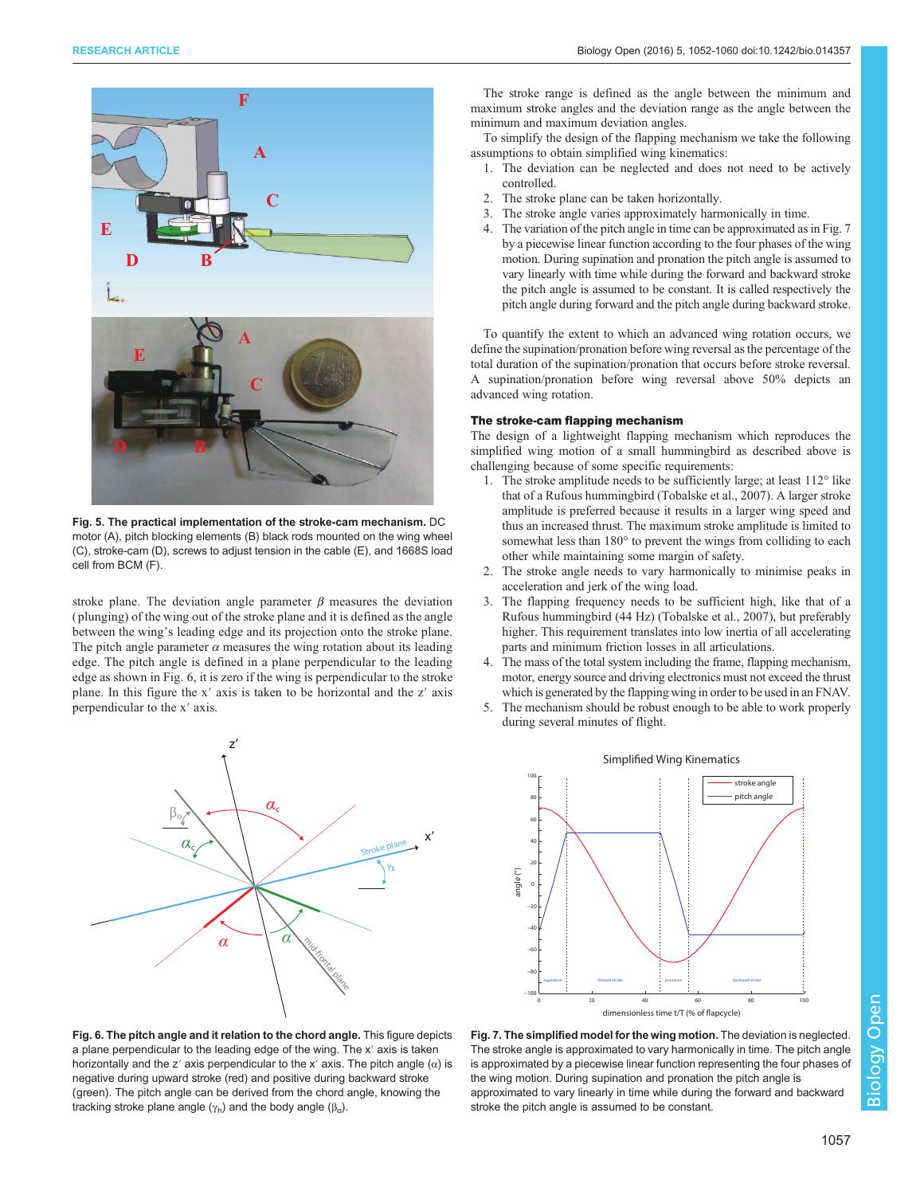<span id="page-5-0"></span>



Fig. 5. The practical implementation of the stroke-cam mechanism. DC motor (A), pitch blocking elements (B) black rods mounted on the wing wheel (C), stroke-cam (D), screws to adjust tension in the cable (E), and 1668S load cell from BCM (F).

stroke plane. The deviation angle parameter  $\beta$  measures the deviation ( plunging) of the wing out of the stroke plane and it is defined as the angle between the wing's leading edge and its projection onto the stroke plane. The pitch angle parameter  $\alpha$  measures the wing rotation about its leading edge. The pitch angle is defined in a plane perpendicular to the leading edge as shown in Fig. 6, it is zero if the wing is perpendicular to the stroke plane. In this figure the x′ axis is taken to be horizontal and the z′ axis perpendicular to the x′ axis.



Fig. 6. The pitch angle and it relation to the chord angle. This figure depicts a plane perpendicular to the leading edge of the wing. The x′ axis is taken horizontally and the z' axis perpendicular to the x' axis. The pitch angle  $(\alpha)$  is negative during upward stroke (red) and positive during backward stroke (green). The pitch angle can be derived from the chord angle, knowing the tracking stroke plane angle ( $γ<sub>h</sub>$ ) and the body angle ( $β<sub>o</sub>$ ).

The stroke range is defined as the angle between the minimum and maximum stroke angles and the deviation range as the angle between the minimum and maximum deviation angles.

To simplify the design of the flapping mechanism we take the following assumptions to obtain simplified wing kinematics:

- 1. The deviation can be neglected and does not need to be actively controlled.
- 2. The stroke plane can be taken horizontally.
- 3. The stroke angle varies approximately harmonically in time.
- 4. The variation of the pitch angle in time can be approximated as in Fig. 7 by a piecewise linear function according to the four phases of the wing motion. During supination and pronation the pitch angle is assumed to vary linearly with time while during the forward and backward stroke the pitch angle is assumed to be constant. It is called respectively the pitch angle during forward and the pitch angle during backward stroke.

To quantify the extent to which an advanced wing rotation occurs, we define the supination/pronation before wing reversal as the percentage of the total duration of the supination/pronation that occurs before stroke reversal. A supination/pronation before wing reversal above 50% depicts an advanced wing rotation.

#### The stroke-cam flapping mechanism

The design of a lightweight flapping mechanism which reproduces the simplified wing motion of a small hummingbird as described above is challenging because of some specific requirements:

- 1. The stroke amplitude needs to be sufficiently large; at least 112° like that of a Rufous hummingbird [\(Tobalske et al., 2007\)](#page-8-0). A larger stroke amplitude is preferred because it results in a larger wing speed and thus an increased thrust. The maximum stroke amplitude is limited to somewhat less than 180 $^{\circ}$  to prevent the wings from colliding to each other while maintaining some margin of safety.
- 2. The stroke angle needs to vary harmonically to minimise peaks in acceleration and jerk of the wing load.
- 3. The flapping frequency needs to be sufficient high, like that of a Rufous hummingbird (44 Hz) ([Tobalske et al., 2007\)](#page-8-0), but preferably higher. This requirement translates into low inertia of all accelerating parts and minimum friction losses in all articulations.
- 4. The mass of the total system including the frame, flapping mechanism, motor, energy source and driving electronics must not exceed the thrust which is generated by the flapping wing in order to be used in an FNAV.
- 5. The mechanism should be robust enough to be able to work properly during several minutes of flight.



# Simplified Wing Kinematics

Fig. 7. The simplified model for the wing motion. The deviation is neglected The stroke angle is approximated to vary harmonically in time. The pitch angle is approximated by a piecewise linear function representing the four phases of the wing motion. During supination and pronation the pitch angle is approximated to vary linearly in time while during the forward and backward stroke the pitch angle is assumed to be constant.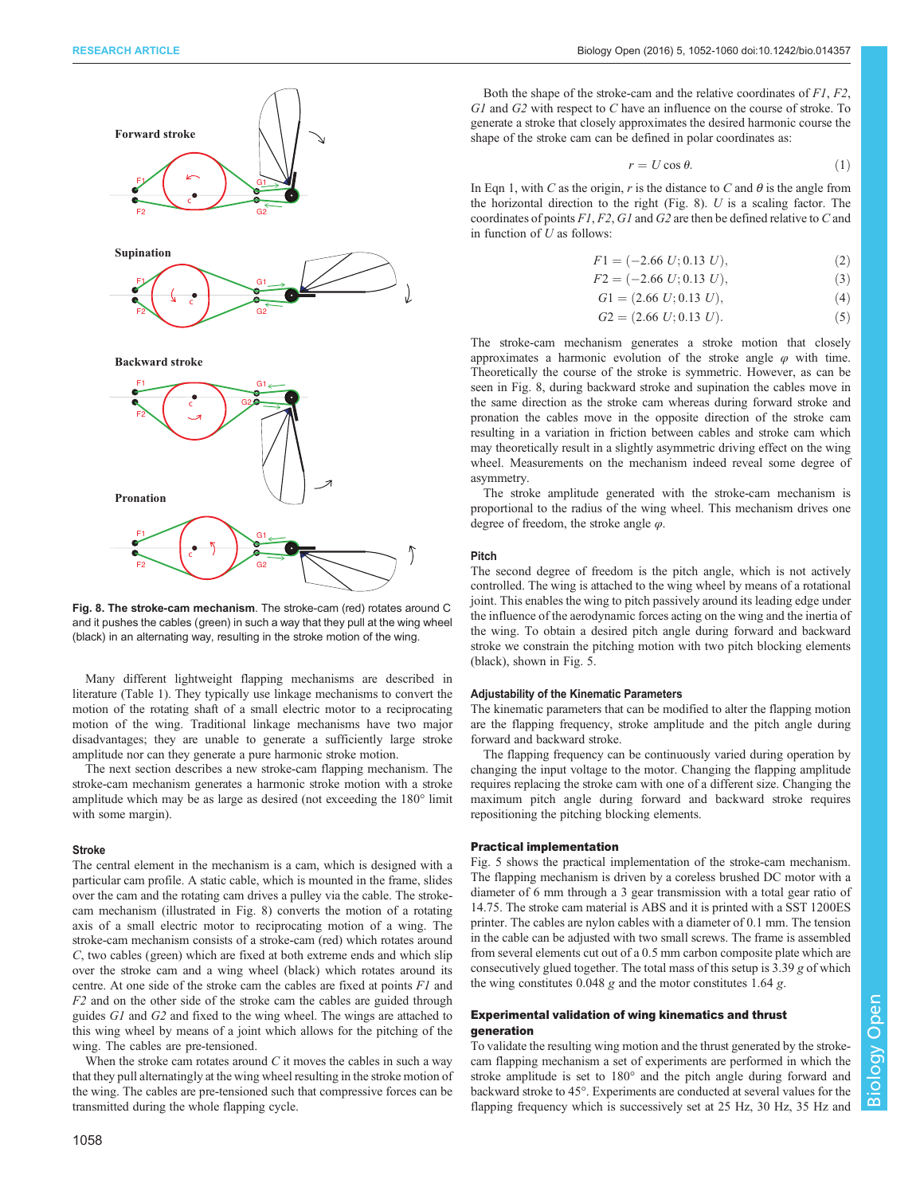<span id="page-6-0"></span>

Fig. 8. The stroke-cam mechanism. The stroke-cam (red) rotates around C and it pushes the cables (green) in such a way that they pull at the wing wheel (black) in an alternating way, resulting in the stroke motion of the wing.

Many different lightweight flapping mechanisms are described in literature ([Table 1\)](#page-1-0). They typically use linkage mechanisms to convert the motion of the rotating shaft of a small electric motor to a reciprocating motion of the wing. Traditional linkage mechanisms have two major disadvantages; they are unable to generate a sufficiently large stroke amplitude nor can they generate a pure harmonic stroke motion.

The next section describes a new stroke-cam flapping mechanism. The stroke-cam mechanism generates a harmonic stroke motion with a stroke amplitude which may be as large as desired (not exceeding the 180° limit with some margin).

#### Stroke

The central element in the mechanism is a cam, which is designed with a particular cam profile. A static cable, which is mounted in the frame, slides over the cam and the rotating cam drives a pulley via the cable. The strokecam mechanism (illustrated in Fig. 8) converts the motion of a rotating axis of a small electric motor to reciprocating motion of a wing. The stroke-cam mechanism consists of a stroke-cam (red) which rotates around C, two cables (green) which are fixed at both extreme ends and which slip over the stroke cam and a wing wheel (black) which rotates around its centre. At one side of the stroke cam the cables are fixed at points  $FI$  and F2 and on the other side of the stroke cam the cables are guided through guides G1 and G2 and fixed to the wing wheel. The wings are attached to this wing wheel by means of a joint which allows for the pitching of the wing. The cables are pre-tensioned.

When the stroke cam rotates around  $C$  it moves the cables in such a way that they pull alternatingly at the wing wheel resulting in the stroke motion of the wing. The cables are pre-tensioned such that compressive forces can be transmitted during the whole flapping cycle.

Both the shape of the stroke-cam and the relative coordinates of F1, F2, G1 and G2 with respect to C have an influence on the course of stroke. To generate a stroke that closely approximates the desired harmonic course the shape of the stroke cam can be defined in polar coordinates as:

$$
r = U\cos\theta.\tag{1}
$$

In Eqn 1, with C as the origin, r is the distance to C and  $\theta$  is the angle from the horizontal direction to the right (Fig. 8).  $U$  is a scaling factor. The coordinates of points  $FI$ ,  $F2$ ,  $GI$  and  $G2$  are then be defined relative to C and in function of  $U$  as follows:

$$
F1 = (-2.66 \, U; 0.13 \, U), \tag{2}
$$

$$
F2 = (-2.66 \, U; 0.13 \, U), \tag{3}
$$

$$
G1 = (2.66 U; 0.13 U), \tag{4}
$$

$$
G2 = (2.66 \, U; 0.13 \, U). \tag{5}
$$

The stroke-cam mechanism generates a stroke motion that closely approximates a harmonic evolution of the stroke angle  $\varphi$  with time. Theoretically the course of the stroke is symmetric. However, as can be seen in Fig. 8, during backward stroke and supination the cables move in the same direction as the stroke cam whereas during forward stroke and pronation the cables move in the opposite direction of the stroke cam resulting in a variation in friction between cables and stroke cam which may theoretically result in a slightly asymmetric driving effect on the wing wheel. Measurements on the mechanism indeed reveal some degree of asymmetry.

The stroke amplitude generated with the stroke-cam mechanism is proportional to the radius of the wing wheel. This mechanism drives one degree of freedom, the stroke angle  $\varphi$ .

# Pitch

The second degree of freedom is the pitch angle, which is not actively controlled. The wing is attached to the wing wheel by means of a rotational joint. This enables the wing to pitch passively around its leading edge under the influence of the aerodynamic forces acting on the wing and the inertia of the wing. To obtain a desired pitch angle during forward and backward stroke we constrain the pitching motion with two pitch blocking elements (black), shown in [Fig. 5](#page-5-0).

#### Adjustability of the Kinematic Parameters

The kinematic parameters that can be modified to alter the flapping motion are the flapping frequency, stroke amplitude and the pitch angle during forward and backward stroke.

The flapping frequency can be continuously varied during operation by changing the input voltage to the motor. Changing the flapping amplitude requires replacing the stroke cam with one of a different size. Changing the maximum pitch angle during forward and backward stroke requires repositioning the pitching blocking elements.

#### Practical implementation

[Fig. 5](#page-5-0) shows the practical implementation of the stroke-cam mechanism. The flapping mechanism is driven by a coreless brushed DC motor with a diameter of 6 mm through a 3 gear transmission with a total gear ratio of 14.75. The stroke cam material is ABS and it is printed with a SST 1200ES printer. The cables are nylon cables with a diameter of 0.1 mm. The tension in the cable can be adjusted with two small screws. The frame is assembled from several elements cut out of a 0.5 mm carbon composite plate which are consecutively glued together. The total mass of this setup is  $3.39$  g of which the wing constitutes  $0.048$  g and the motor constitutes 1.64 g.

# Experimental validation of wing kinematics and thrust generation

To validate the resulting wing motion and the thrust generated by the strokecam flapping mechanism a set of experiments are performed in which the stroke amplitude is set to 180° and the pitch angle during forward and backward stroke to 45°. Experiments are conducted at several values for the flapping frequency which is successively set at 25 Hz, 30 Hz, 35 Hz and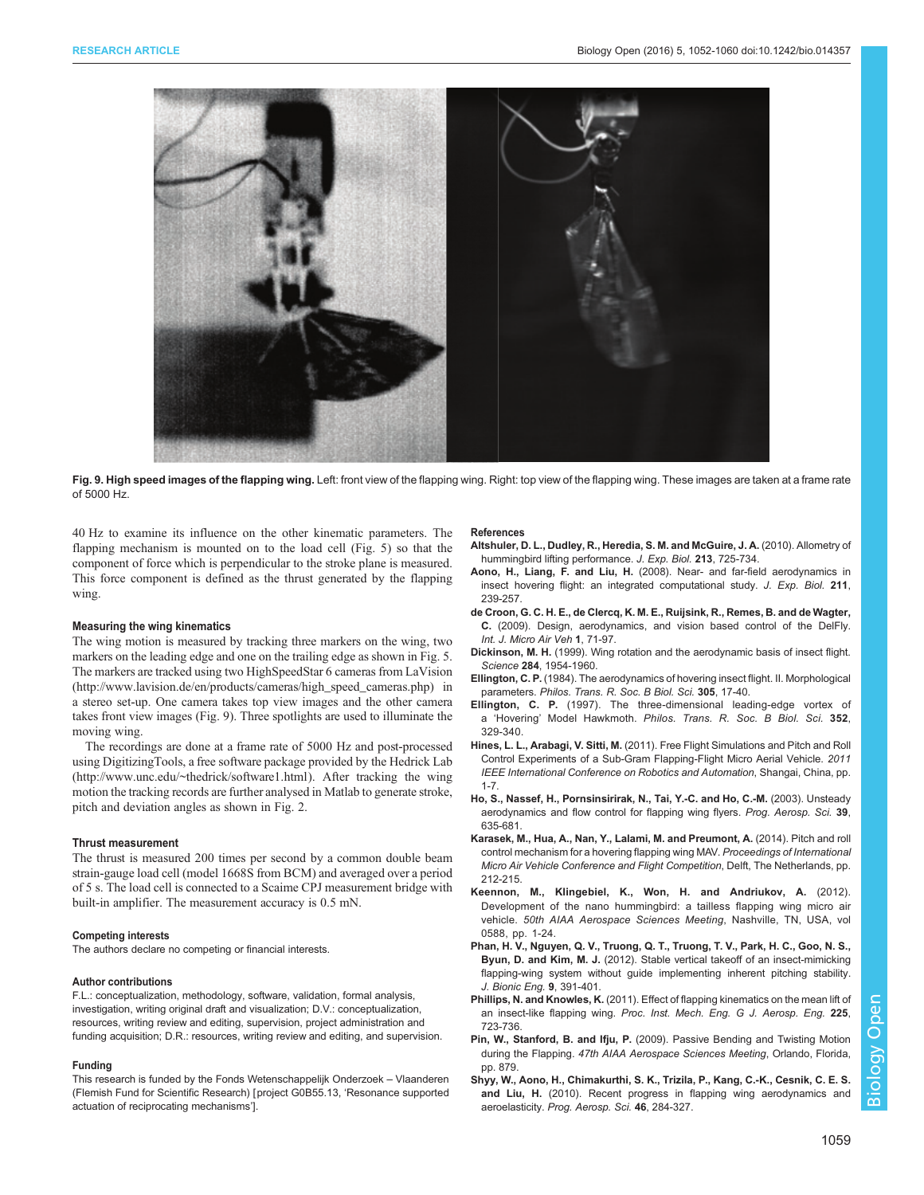<span id="page-7-0"></span>

Fig. 9. High speed images of the flapping wing. Left: front view of the flapping wing. Right: top view of the flapping wing. These images are taken at a frame rate of 5000 Hz.

40 Hz to examine its influence on the other kinematic parameters. The flapping mechanism is mounted on to the load cell ([Fig. 5\)](#page-5-0) so that the component of force which is perpendicular to the stroke plane is measured. This force component is defined as the thrust generated by the flapping wing.

#### Measuring the wing kinematics

The wing motion is measured by tracking three markers on the wing, two markers on the leading edge and one on the trailing edge as shown in [Fig. 5.](#page-5-0) The markers are tracked using two HighSpeedStar 6 cameras from LaVision ([http://www.lavision.de/en/products/cameras/high\\_speed\\_cameras.php\)](http://www.lavision.de/en/products/cameras/high_speed_cameras.php) in a stereo set-up. One camera takes top view images and the other camera takes front view images (Fig. 9). Three spotlights are used to illuminate the moving wing.

The recordings are done at a frame rate of 5000 Hz and post-processed using DigitizingTools, a free software package provided by the Hedrick Lab (<http://www.unc.edu/~thedrick/software1.html>). After tracking the wing motion the tracking records are further analysed in Matlab to generate stroke, pitch and deviation angles as shown in [Fig. 2.](#page-2-0)

#### Thrust measurement

The thrust is measured 200 times per second by a common double beam strain-gauge load cell (model 1668S from BCM) and averaged over a period of 5 s. The load cell is connected to a Scaime CPJ measurement bridge with built-in amplifier. The measurement accuracy is 0.5 mN.

#### Competing interests

The authors declare no competing or financial interests.

#### Author contributions

F.L.: conceptualization, methodology, software, validation, formal analysis, investigation, writing original draft and visualization; D.V.: conceptualization, resources, writing review and editing, supervision, project administration and funding acquisition; D.R.: resources, writing review and editing, and supervision.

#### Funding

This research is funded by the Fonds Wetenschappelijk Onderzoek – Vlaanderen (Flemish Fund for Scientific Research) [project G0B55.13, 'Resonance supported actuation of reciprocating mechanisms'].

#### References

- [Altshuler, D. L., Dudley, R., Heredia, S. M. and McGuire, J. A.](http://dx.doi.org/10.1242/jeb.037002) (2010). Allometry of [hummingbird lifting performance.](http://dx.doi.org/10.1242/jeb.037002) J. Exp. Biol. 213, 725-734.
- Aono, H., Liang, F. and Liu, H. [\(2008\). Near- and far-field aerodynamics in](http://dx.doi.org/10.1242/jeb.008649) [insect hovering flight: an integrated computational study.](http://dx.doi.org/10.1242/jeb.008649) J. Exp. Biol. 211, [239-257.](http://dx.doi.org/10.1242/jeb.008649)
- [de Croon, G. C. H. E., de Clercq, K. M. E., Ruijsink, R., Remes, B. and de Wagter,](http://dx.doi.org/10.1260/175682909789498288) C. [\(2009\). Design, aerodynamics, and vision based control of the DelFly.](http://dx.doi.org/10.1260/175682909789498288) [Int. J. Micro Air Veh](http://dx.doi.org/10.1260/175682909789498288) 1, 71-97.
- Dickinson, M. H. [\(1999\). Wing rotation and the aerodynamic basis of insect flight.](http://dx.doi.org/10.1126/science.284.5422.1954) Science 284[, 1954-1960.](http://dx.doi.org/10.1126/science.284.5422.1954)
- Ellington, C. P. [\(1984\). The aerodynamics of hovering insect flight. II. Morphological](http://dx.doi.org/10.1098/rstb.1984.0050) parameters. [Philos. Trans. R. Soc. B Biol. Sci.](http://dx.doi.org/10.1098/rstb.1984.0050) 305, 17-40.
- Ellington, C. P. [\(1997\). The three-dimensional leading-edge vortex of](http://dx.doi.org/10.1098/rstb.1997.0024) a 'Hovering' Model Hawkmoth. [Philos. Trans. R. Soc. B Biol. Sci.](http://dx.doi.org/10.1098/rstb.1997.0024) 352, [329-340.](http://dx.doi.org/10.1098/rstb.1997.0024)
- Hines, L. L., Arabagi, V. Sitti, M. [\(2011\). Free Flight Simulations and Pitch and Roll](http://dx.doi.org/10.1109/ICRA.2011.5979816) [Control Experiments of a Sub-Gram Flapping-Flight Micro Aerial Vehicle.](http://dx.doi.org/10.1109/ICRA.2011.5979816) 2011 [IEEE International Conference on Robotics and Automation](http://dx.doi.org/10.1109/ICRA.2011.5979816), Shangai, China, pp. [1-7.](http://dx.doi.org/10.1109/ICRA.2011.5979816)
- [Ho, S., Nassef, H., Pornsinsirirak, N., Tai, Y.-C. and Ho, C.-M.](http://dx.doi.org/10.1016/j.paerosci.2003.04.001) (2003). Unsteady [aerodynamics and flow control for flapping wing flyers.](http://dx.doi.org/10.1016/j.paerosci.2003.04.001) Prog. Aerosp. Sci. 39, [635-681.](http://dx.doi.org/10.1016/j.paerosci.2003.04.001)
- Karasek, M., Hua, A., Nan, Y., Lalami, M. and Preumont, A. (2014). Pitch and roll control mechanism for a hovering flapping wing MAV. Proceedings of International Micro Air Vehicle Conference and Flight Competition, Delft, The Netherlands, pp. 212-215.
- [Keennon, M., Klingebiel, K., Won, H. and Andriukov, A.](http://dx.doi.org/10.2514/6.2012-588) (2012). [Development of the nano hummingbird: a tailless flapping wing micro air](http://dx.doi.org/10.2514/6.2012-588) vehicle. [50th AIAA Aerospace Sciences Meeting](http://dx.doi.org/10.2514/6.2012-588), Nashville, TN, USA, vol [0588, pp. 1-24.](http://dx.doi.org/10.2514/6.2012-588)
- [Phan, H. V., Nguyen, Q. V., Truong, Q. T., Truong, T. V., Park, H. C., Goo, N. S.,](http://dx.doi.org/10.1016/S1672-6529(11)60134-0) Byun, D. and Kim, M. J. [\(2012\). Stable vertical takeoff of an insect-mimicking](http://dx.doi.org/10.1016/S1672-6529(11)60134-0) [flapping-wing system without guide implementing inherent pitching stability.](http://dx.doi.org/10.1016/S1672-6529(11)60134-0) [J. Bionic Eng.](http://dx.doi.org/10.1016/S1672-6529(11)60134-0) 9, 391-401.
- Phillips, N. and Knowles, K. [\(2011\). Effect of flapping kinematics on the mean lift of](http://dx.doi.org/10.1177/0954410011401705) an insect-like flapping wing. [Proc. Inst. Mech. Eng. G J. Aerosp. Eng.](http://dx.doi.org/10.1177/0954410011401705) 225, [723-736.](http://dx.doi.org/10.1177/0954410011401705)
- Pin, W., Stanford, B. and Ifju, P. [\(2009\). Passive Bending and Twisting Motion](http://dx.doi.org/10.2514/6.2009-879) during the Flapping. [47th AIAA Aerospace Sciences Meeting](http://dx.doi.org/10.2514/6.2009-879), Orlando, Florida, [pp. 879.](http://dx.doi.org/10.2514/6.2009-879)
- [Shyy, W., Aono, H., Chimakurthi, S. K., Trizila, P., Kang, C.-K., Cesnik, C. E. S.](http://dx.doi.org/10.1016/j.paerosci.2010.01.001) and Liu, H. [\(2010\). Recent progress in flapping wing aerodynamics and](http://dx.doi.org/10.1016/j.paerosci.2010.01.001) aeroelasticity. [Prog. Aerosp. Sci.](http://dx.doi.org/10.1016/j.paerosci.2010.01.001) 46, 284-327.